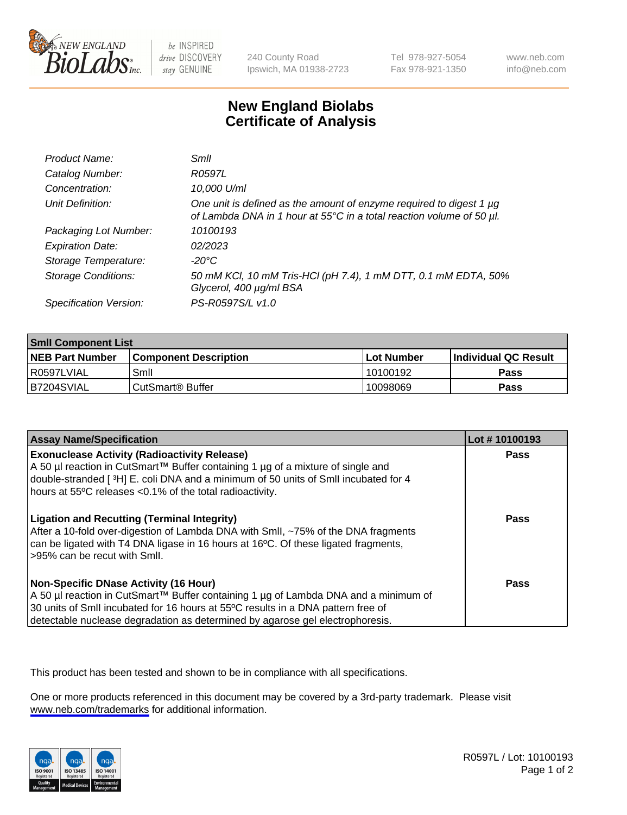

be INSPIRED drive DISCOVERY stay GENUINE

240 County Road Ipswich, MA 01938-2723 Tel 978-927-5054 Fax 978-921-1350

www.neb.com info@neb.com

## **New England Biolabs Certificate of Analysis**

| Product Name:              | Smil                                                                                                                                        |
|----------------------------|---------------------------------------------------------------------------------------------------------------------------------------------|
| Catalog Number:            | R0597L                                                                                                                                      |
| Concentration:             | 10,000 U/ml                                                                                                                                 |
| Unit Definition:           | One unit is defined as the amount of enzyme required to digest 1 µg<br>of Lambda DNA in 1 hour at 55°C in a total reaction volume of 50 µl. |
| Packaging Lot Number:      | 10100193                                                                                                                                    |
| <b>Expiration Date:</b>    | 02/2023                                                                                                                                     |
| Storage Temperature:       | -20°C                                                                                                                                       |
| <b>Storage Conditions:</b> | 50 mM KCl, 10 mM Tris-HCl (pH 7.4), 1 mM DTT, 0.1 mM EDTA, 50%<br>Glycerol, 400 µg/ml BSA                                                   |
| Specification Version:     | PS-R0597S/L v1.0                                                                                                                            |

| <b>Smil Component List</b> |                              |              |                       |  |
|----------------------------|------------------------------|--------------|-----------------------|--|
| <b>NEB Part Number</b>     | <b>Component Description</b> | l Lot Number | ∣Individual QC Result |  |
| R0597LVIAL                 | Smil                         | 10100192     | Pass                  |  |
| B7204SVIAL                 | CutSmart <sup>®</sup> Buffer | 10098069     | Pass                  |  |

| <b>Assay Name/Specification</b>                                                                                                                                                                                                                                                                          | Lot #10100193 |
|----------------------------------------------------------------------------------------------------------------------------------------------------------------------------------------------------------------------------------------------------------------------------------------------------------|---------------|
| <b>Exonuclease Activity (Radioactivity Release)</b><br>A 50 µl reaction in CutSmart™ Buffer containing 1 µg of a mixture of single and<br>double-stranded [3H] E. coli DNA and a minimum of 50 units of Smll incubated for 4<br>hours at 55°C releases <0.1% of the total radioactivity.                 | Pass          |
| <b>Ligation and Recutting (Terminal Integrity)</b><br>After a 10-fold over-digestion of Lambda DNA with Smll, ~75% of the DNA fragments<br>can be ligated with T4 DNA ligase in 16 hours at 16 <sup>o</sup> C. Of these ligated fragments,<br>-95% can be recut with Smll.                               | Pass          |
| <b>Non-Specific DNase Activity (16 Hour)</b><br>A 50 µl reaction in CutSmart™ Buffer containing 1 µg of Lambda DNA and a minimum of<br>30 units of SmII incubated for 16 hours at 55°C results in a DNA pattern free of<br>detectable nuclease degradation as determined by agarose gel electrophoresis. | Pass          |

This product has been tested and shown to be in compliance with all specifications.

One or more products referenced in this document may be covered by a 3rd-party trademark. Please visit <www.neb.com/trademarks>for additional information.